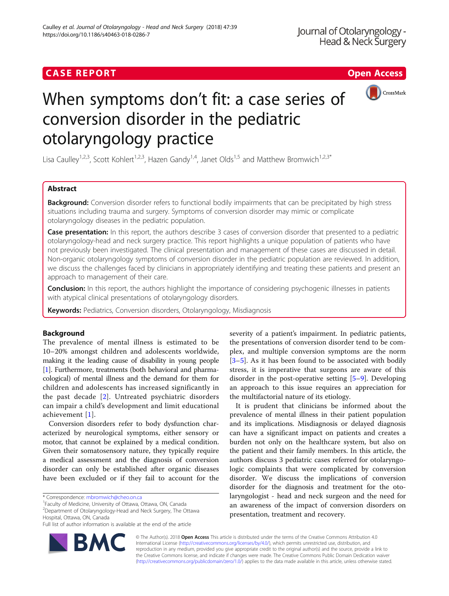# **CASE REPORT CASE ACCESS**



# When symptoms don't fit: a case series of conversion disorder in the pediatric otolaryngology practice

Lisa Caulley<sup>1,2,3</sup>, Scott Kohlert<sup>1,2,3</sup>, Hazen Gandy<sup>1,4</sup>, Janet Olds<sup>1,5</sup> and Matthew Bromwich<sup>1,2,3\*</sup>

# Abstract

Background: Conversion disorder refers to functional bodily impairments that can be precipitated by high stress situations including trauma and surgery. Symptoms of conversion disorder may mimic or complicate otolaryngology diseases in the pediatric population.

Case presentation: In this report, the authors describe 3 cases of conversion disorder that presented to a pediatric otolaryngology-head and neck surgery practice. This report highlights a unique population of patients who have not previously been investigated. The clinical presentation and management of these cases are discussed in detail. Non-organic otolaryngology symptoms of conversion disorder in the pediatric population are reviewed. In addition, we discuss the challenges faced by clinicians in appropriately identifying and treating these patients and present an approach to management of their care.

**Conclusion:** In this report, the authors highlight the importance of considering psychogenic illnesses in patients with atypical clinical presentations of otolaryngology disorders.

Keywords: Pediatrics, Conversion disorders, Otolaryngology, Misdiagnosis

# Background

The prevalence of mental illness is estimated to be 10–20% amongst children and adolescents worldwide, making it the leading cause of disability in young people [[1](#page-4-0)]. Furthermore, treatments (both behavioral and pharmacological) of mental illness and the demand for them for children and adolescents has increased significantly in the past decade [[2](#page-4-0)]. Untreated psychiatric disorders can impair a child's development and limit educational achievement [\[1](#page-4-0)].

Conversion disorders refer to body dysfunction characterized by neurological symptoms, either sensory or motor, that cannot be explained by a medical condition. Given their somatosensory nature, they typically require a medical assessment and the diagnosis of conversion disorder can only be established after organic diseases have been excluded or if they fail to account for the

<sup>1</sup> Faculty of Medicine, University of Ottawa, Ottawa, ON, Canada 2 Department of Otolaryngology-Head and Neck Surgery, The Ottawa Hospital, Ottawa, ON, Canada

severity of a patient's impairment. In pediatric patients, the presentations of conversion disorder tend to be complex, and multiple conversion symptoms are the norm [[3](#page-4-0)–[5\]](#page-4-0). As it has been found to be associated with bodily stress, it is imperative that surgeons are aware of this disorder in the post-operative setting [\[5](#page-4-0)–[9](#page-4-0)]. Developing an approach to this issue requires an appreciation for the multifactorial nature of its etiology.

It is prudent that clinicians be informed about the prevalence of mental illness in their patient population and its implications. Misdiagnosis or delayed diagnosis can have a significant impact on patients and creates a burden not only on the healthcare system, but also on the patient and their family members. In this article, the authors discuss 3 pediatric cases referred for otolaryngologic complaints that were complicated by conversion disorder. We discuss the implications of conversion disorder for the diagnosis and treatment for the otolaryngologist - head and neck surgeon and the need for an awareness of the impact of conversion disorders on presentation, treatment and recovery.



© The Author(s). 2018 Open Access This article is distributed under the terms of the Creative Commons Attribution 4.0 International License [\(http://creativecommons.org/licenses/by/4.0/](http://creativecommons.org/licenses/by/4.0/)), which permits unrestricted use, distribution, and reproduction in any medium, provided you give appropriate credit to the original author(s) and the source, provide a link to the Creative Commons license, and indicate if changes were made. The Creative Commons Public Domain Dedication waiver [\(http://creativecommons.org/publicdomain/zero/1.0/](http://creativecommons.org/publicdomain/zero/1.0/)) applies to the data made available in this article, unless otherwise stated.

<sup>\*</sup> Correspondence: [mbromwich@cheo.on.ca](mailto:mbromwich@cheo.on.ca) <sup>1</sup>

Full list of author information is available at the end of the article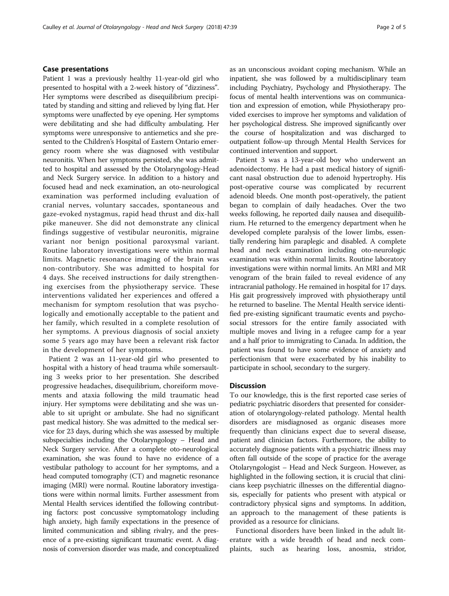# Case presentations

Patient 1 was a previously healthy 11-year-old girl who presented to hospital with a 2-week history of "dizziness". Her symptoms were described as disequilibrium precipitated by standing and sitting and relieved by lying flat. Her symptoms were unaffected by eye opening. Her symptoms were debilitating and she had difficulty ambulating. Her symptoms were unresponsive to antiemetics and she presented to the Children's Hospital of Eastern Ontario emergency room where she was diagnosed with vestibular neuronitis. When her symptoms persisted, she was admitted to hospital and assessed by the Otolaryngology-Head and Neck Surgery service. In addition to a history and focused head and neck examination, an oto-neurological examination was performed including evaluation of cranial nerves, voluntary saccades, spontaneous and gaze-evoked nystagmus, rapid head thrust and dix-hall pike maneuver. She did not demonstrate any clinical findings suggestive of vestibular neuronitis, migraine variant nor benign positional paroxysmal variant. Routine laboratory investigations were within normal limits. Magnetic resonance imaging of the brain was non-contributory. She was admitted to hospital for 4 days. She received instructions for daily strengthening exercises from the physiotherapy service. These interventions validated her experiences and offered a mechanism for symptom resolution that was psychologically and emotionally acceptable to the patient and her family, which resulted in a complete resolution of her symptoms. A previous diagnosis of social anxiety some 5 years ago may have been a relevant risk factor in the development of her symptoms.

Patient 2 was an 11-year-old girl who presented to hospital with a history of head trauma while somersaulting 3 weeks prior to her presentation. She described progressive headaches, disequilibrium, choreiform movements and ataxia following the mild traumatic head injury. Her symptoms were debilitating and she was unable to sit upright or ambulate. She had no significant past medical history. She was admitted to the medical service for 23 days, during which she was assessed by multiple subspecialties including the Otolaryngology – Head and Neck Surgery service. After a complete oto-neurological examination, she was found to have no evidence of a vestibular pathology to account for her symptoms, and a head computed tomography (CT) and magnetic resonance imaging (MRI) were normal. Routine laboratory investigations were within normal limits. Further assessment from Mental Health services identified the following contributing factors: post concussive symptomatology including high anxiety, high family expectations in the presence of limited communication and sibling rivalry, and the presence of a pre-existing significant traumatic event. A diagnosis of conversion disorder was made, and conceptualized as an unconscious avoidant coping mechanism. While an inpatient, she was followed by a multidisciplinary team including Psychiatry, Psychology and Physiotherapy. The focus of mental health interventions was on communication and expression of emotion, while Physiotherapy provided exercises to improve her symptoms and validation of her psychological distress. She improved significantly over the course of hospitalization and was discharged to outpatient follow-up through Mental Health Services for continued intervention and support.

Patient 3 was a 13-year-old boy who underwent an adenoidectomy. He had a past medical history of significant nasal obstruction due to adenoid hypertrophy. His post-operative course was complicated by recurrent adenoid bleeds. One month post-operatively, the patient began to complain of daily headaches. Over the two weeks following, he reported daily nausea and disequilibrium. He returned to the emergency department when he developed complete paralysis of the lower limbs, essentially rendering him paraplegic and disabled. A complete head and neck examination including oto-neurologic examination was within normal limits. Routine laboratory investigations were within normal limits. An MRI and MR venogram of the brain failed to reveal evidence of any intracranial pathology. He remained in hospital for 17 days. His gait progressively improved with physiotherapy until he returned to baseline. The Mental Health service identified pre-existing significant traumatic events and psychosocial stressors for the entire family associated with multiple moves and living in a refugee camp for a year and a half prior to immigrating to Canada. In addition, the patient was found to have some evidence of anxiety and perfectionism that were exacerbated by his inability to participate in school, secondary to the surgery.

## **Discussion**

To our knowledge, this is the first reported case series of pediatric psychiatric disorders that presented for consideration of otolaryngology-related pathology. Mental health disorders are misdiagnosed as organic diseases more frequently than clinicians expect due to several disease, patient and clinician factors. Furthermore, the ability to accurately diagnose patients with a psychiatric illness may often fall outside of the scope of practice for the average Otolaryngologist – Head and Neck Surgeon. However, as highlighted in the following section, it is crucial that clinicians keep psychiatric illnesses on the differential diagnosis, especially for patients who present with atypical or contradictory physical signs and symptoms. In addition, an approach to the management of these patients is provided as a resource for clinicians.

Functional disorders have been linked in the adult literature with a wide breadth of head and neck complaints, such as hearing loss, anosmia, stridor,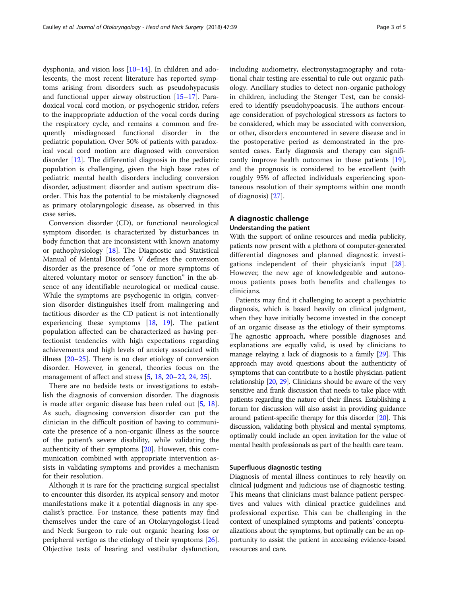dysphonia, and vision loss [[10](#page-4-0)–[14](#page-4-0)]. In children and adolescents, the most recent literature has reported symptoms arising from disorders such as pseudohypacusis and functional upper airway obstruction [[15](#page-4-0)–[17](#page-4-0)]. Paradoxical vocal cord motion, or psychogenic stridor, refers to the inappropriate adduction of the vocal cords during the respiratory cycle, and remains a common and frequently misdiagnosed functional disorder in the pediatric population. Over 50% of patients with paradoxical vocal cord motion are diagnosed with conversion disorder [\[12](#page-4-0)]. The differential diagnosis in the pediatric population is challenging, given the high base rates of pediatric mental health disorders including conversion disorder, adjustment disorder and autism spectrum disorder. This has the potential to be mistakenly diagnosed as primary otolaryngologic disease, as observed in this case series.

Conversion disorder (CD), or functional neurological symptom disorder, is characterized by disturbances in body function that are inconsistent with known anatomy or pathophysiology [[18\]](#page-4-0). The Diagnostic and Statistical Manual of Mental Disorders V defines the conversion disorder as the presence of "one or more symptoms of altered voluntary motor or sensory function" in the absence of any identifiable neurological or medical cause. While the symptoms are psychogenic in origin, conversion disorder distinguishes itself from malingering and factitious disorder as the CD patient is not intentionally experiencing these symptoms [[18,](#page-4-0) [19\]](#page-4-0). The patient population affected can be characterized as having perfectionist tendencies with high expectations regarding achievements and high levels of anxiety associated with illness [[20](#page-4-0)–[25](#page-4-0)]. There is no clear etiology of conversion disorder. However, in general, theories focus on the management of affect and stress [\[5,](#page-4-0) [18,](#page-4-0) [20](#page-4-0)–[22](#page-4-0), [24](#page-4-0), [25](#page-4-0)].

There are no bedside tests or investigations to establish the diagnosis of conversion disorder. The diagnosis is made after organic disease has been ruled out [[5,](#page-4-0) [18](#page-4-0)]. As such, diagnosing conversion disorder can put the clinician in the difficult position of having to communicate the presence of a non-organic illness as the source of the patient's severe disability, while validating the authenticity of their symptoms [[20\]](#page-4-0). However, this communication combined with appropriate intervention assists in validating symptoms and provides a mechanism for their resolution.

Although it is rare for the practicing surgical specialist to encounter this disorder, its atypical sensory and motor manifestations make it a potential diagnosis in any specialist's practice. For instance, these patients may find themselves under the care of an Otolaryngologist-Head and Neck Surgeon to rule out organic hearing loss or peripheral vertigo as the etiology of their symptoms [\[26](#page-4-0)]. Objective tests of hearing and vestibular dysfunction, including audiometry, electronystagmography and rotational chair testing are essential to rule out organic pathology. Ancillary studies to detect non-organic pathology in children, including the Stenger Test, can be considered to identify pseudohypoacusis. The authors encourage consideration of psychological stressors as factors to be considered, which may be associated with conversion, or other, disorders encountered in severe disease and in the postoperative period as demonstrated in the presented cases. Early diagnosis and therapy can significantly improve health outcomes in these patients [\[19](#page-4-0)], and the prognosis is considered to be excellent (with roughly 95% of affected individuals experiencing spontaneous resolution of their symptoms within one month of diagnosis) [\[27](#page-4-0)].

# A diagnostic challenge Understanding the patient

With the support of online resources and media publicity, patients now present with a plethora of computer-generated differential diagnoses and planned diagnostic investigations independent of their physician's input [\[28](#page-4-0)]. However, the new age of knowledgeable and autonomous patients poses both benefits and challenges to clinicians.

Patients may find it challenging to accept a psychiatric diagnosis, which is based heavily on clinical judgment, when they have initially become invested in the concept of an organic disease as the etiology of their symptoms. The agnostic approach, where possible diagnoses and explanations are equally valid, is used by clinicians to manage relaying a lack of diagnosis to a family [[29](#page-4-0)]. This approach may avoid questions about the authenticity of symptoms that can contribute to a hostile physician-patient relationship [[20,](#page-4-0) [29](#page-4-0)]. Clinicians should be aware of the very sensitive and frank discussion that needs to take place with patients regarding the nature of their illness. Establishing a forum for discussion will also assist in providing guidance around patient-specific therapy for this disorder [\[20](#page-4-0)]. This discussion, validating both physical and mental symptoms, optimally could include an open invitation for the value of mental health professionals as part of the health care team.

## Superfluous diagnostic testing

Diagnosis of mental illness continues to rely heavily on clinical judgment and judicious use of diagnostic testing. This means that clinicians must balance patient perspectives and values with clinical practice guidelines and professional expertise. This can be challenging in the context of unexplained symptoms and patients' conceptualizations about the symptoms, but optimally can be an opportunity to assist the patient in accessing evidence-based resources and care.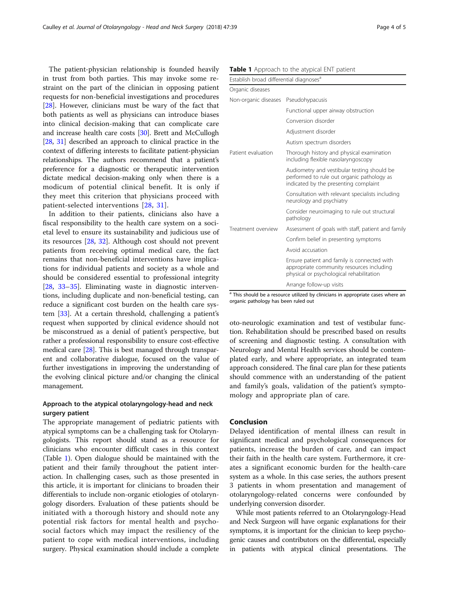The patient-physician relationship is founded heavily in trust from both parties. This may invoke some restraint on the part of the clinician in opposing patient requests for non-beneficial investigations and procedures [[28\]](#page-4-0). However, clinicians must be wary of the fact that both patients as well as physicians can introduce biases into clinical decision-making that can complicate care and increase health care costs [[30](#page-4-0)]. Brett and McCullogh [[28](#page-4-0), [31\]](#page-4-0) described an approach to clinical practice in the context of differing interests to facilitate patient-physician relationships. The authors recommend that a patient's preference for a diagnostic or therapeutic intervention dictate medical decision-making only when there is a modicum of potential clinical benefit. It is only if they meet this criterion that physicians proceed with patient-selected interventions [\[28,](#page-4-0) [31](#page-4-0)].

In addition to their patients, clinicians also have a fiscal responsibility to the health care system on a societal level to ensure its sustainability and judicious use of its resources [\[28,](#page-4-0) [32](#page-4-0)]. Although cost should not prevent patients from receiving optimal medical care, the fact remains that non-beneficial interventions have implications for individual patients and society as a whole and should be considered essential to professional integrity [[28,](#page-4-0) [33](#page-4-0)–[35\]](#page-4-0). Eliminating waste in diagnostic interventions, including duplicate and non-beneficial testing, can reduce a significant cost burden on the health care system [[33](#page-4-0)]. At a certain threshold, challenging a patient's request when supported by clinical evidence should not be misconstrued as a denial of patient's perspective, but rather a professional responsibility to ensure cost-effective medical care [\[28\]](#page-4-0). This is best managed through transparent and collaborative dialogue, focused on the value of further investigations in improving the understanding of the evolving clinical picture and/or changing the clinical management.

# Approach to the atypical otolaryngology-head and neck surgery patient

The appropriate management of pediatric patients with atypical symptoms can be a challenging task for Otolaryngologists. This report should stand as a resource for clinicians who encounter difficult cases in this context (Table 1). Open dialogue should be maintained with the patient and their family throughout the patient interaction. In challenging cases, such as those presented in this article, it is important for clinicians to broaden their differentials to include non-organic etiologies of otolaryngology disorders. Evaluation of these patients should be initiated with a thorough history and should note any potential risk factors for mental health and psychosocial factors which may impact the resiliency of the patient to cope with medical interventions, including surgery. Physical examination should include a complete

|  | Table 1 Approach to the atypical ENT patient |  |  |  |  |
|--|----------------------------------------------|--|--|--|--|
|--|----------------------------------------------|--|--|--|--|

| Establish broad differential diagnoses <sup>a</sup> |                                                                                                                                      |  |  |  |
|-----------------------------------------------------|--------------------------------------------------------------------------------------------------------------------------------------|--|--|--|
| Organic diseases                                    |                                                                                                                                      |  |  |  |
| Non-organic diseases Pseudohypacusis                |                                                                                                                                      |  |  |  |
|                                                     | Functional upper airway obstruction                                                                                                  |  |  |  |
|                                                     | Conversion disorder                                                                                                                  |  |  |  |
|                                                     | Adjustment disorder                                                                                                                  |  |  |  |
|                                                     | Autism spectrum disorders                                                                                                            |  |  |  |
| Patient evaluation                                  | Thorough history and physical examination<br>including flexible nasolaryngoscopy                                                     |  |  |  |
|                                                     | Audiometry and vestibular testing should be<br>performed to rule out organic pathology as<br>indicated by the presenting complaint   |  |  |  |
|                                                     | Consultation with relevant specialists including<br>neurology and psychiatry                                                         |  |  |  |
|                                                     | Consider neuroimaging to rule out structural<br>pathology                                                                            |  |  |  |
| Treatment overview                                  | Assessment of goals with staff, patient and family                                                                                   |  |  |  |
|                                                     | Confirm belief in presenting symptoms                                                                                                |  |  |  |
|                                                     | Avoid accusation                                                                                                                     |  |  |  |
|                                                     | Ensure patient and family is connected with<br>appropriate community resources including<br>physical or psychological rehabilitation |  |  |  |
|                                                     | Arrange follow-up visits                                                                                                             |  |  |  |

<sup>a</sup> This should be a resource utilized by clinicians in appropriate cases where an organic pathology has been ruled out

oto-neurologic examination and test of vestibular function. Rehabilitation should be prescribed based on results of screening and diagnostic testing. A consultation with Neurology and Mental Health services should be contemplated early, and where appropriate, an integrated team approach considered. The final care plan for these patients should commence with an understanding of the patient and family's goals, validation of the patient's symptomology and appropriate plan of care.

## Conclusion

Delayed identification of mental illness can result in significant medical and psychological consequences for patients, increase the burden of care, and can impact their faith in the health care system. Furthermore, it creates a significant economic burden for the health-care system as a whole. In this case series, the authors present 3 patients in whom presentation and management of otolaryngology-related concerns were confounded by underlying conversion disorder.

While most patients referred to an Otolaryngology-Head and Neck Surgeon will have organic explanations for their symptoms, it is important for the clinician to keep psychogenic causes and contributors on the differential, especially in patients with atypical clinical presentations. The